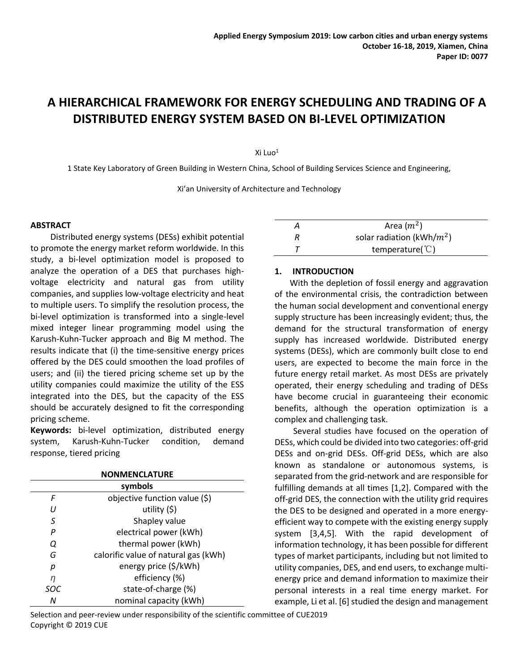# **A HIERARCHICAL FRAMEWORK FOR ENERGY SCHEDULING AND TRADING OF A DISTRIBUTED ENERGY SYSTEM BASED ON BI-LEVEL OPTIMIZATION**

Xi Luo<sup>1</sup>

1 State Key Laboratory of Green Building in Western China, School of Building Services Science and Engineering,

Xi'an University of Architecture and Technology

### **ABSTRACT**

Distributed energy systems (DESs) exhibit potential to promote the energy market reform worldwide. In this study, a bi-level optimization model is proposed to analyze the operation of a DES that purchases highvoltage electricity and natural gas from utility companies, and supplies low-voltage electricity and heat to multiple users. To simplify the resolution process, the bi-level optimization is transformed into a single-level mixed integer linear programming model using the Karush-Kuhn-Tucker approach and Big M method. The results indicate that (i) the time-sensitive energy prices offered by the DES could smoothen the load profiles of users; and (ii) the tiered pricing scheme set up by the utility companies could maximize the utility of the ESS integrated into the DES, but the capacity of the ESS should be accurately designed to fit the corresponding pricing scheme.

**Keywords:** bi-level optimization, distributed energy system, Karush-Kuhn-Tucker condition, demand response, tiered pricing

| <b>NONMENCLATURE</b> |                                      |  |  |  |
|----------------------|--------------------------------------|--|--|--|
| symbols              |                                      |  |  |  |
| F                    | objective function value (\$)        |  |  |  |
| IJ                   | utility $(5)$                        |  |  |  |
| S                    | Shapley value                        |  |  |  |
| P                    | electrical power (kWh)               |  |  |  |
| Q                    | thermal power (kWh)                  |  |  |  |
| G                    | calorific value of natural gas (kWh) |  |  |  |
| р                    | energy price (\$/kWh)                |  |  |  |
| n                    | efficiency (%)                       |  |  |  |
| <i>SOC</i>           | state-of-charge (%)                  |  |  |  |
| Ν                    | nominal capacity (kWh)               |  |  |  |

Selection and peer-review under responsibility of the scientific committee of CUE2019 Copyright © 2019 CUE

| Area $(m^2)$                 |
|------------------------------|
| solar radiation (kWh/ $m2$ ) |
| temperature( $\degree$ C)    |

## **1. INTRODUCTION**

With the depletion of fossil energy and aggravation of the environmental crisis, the contradiction between the human social development and conventional energy supply structure has been increasingly evident; thus, the demand for the structural transformation of energy supply has increased worldwide. Distributed energy systems (DESs), which are commonly built close to end users, are expected to become the main force in the future energy retail market. As most DESs are privately operated, their energy scheduling and trading of DESs have become crucial in guaranteeing their economic benefits, although the operation optimization is a complex and challenging task.

Several studies have focused on the operation of DESs, which could be divided into two categories: off-grid DESs and on-grid DESs. Off-grid DESs, which are also known as standalone or autonomous systems, is separated from the grid-network and are responsible for fulfilling demands at all times [1,2]. Compared with the off-grid DES, the connection with the utility grid requires the DES to be designed and operated in a more energyefficient way to compete with the existing energy supply system [3,4,5]. With the rapid development of information technology, it has been possible for different types of market participants, including but not limited to utility companies, DES, and end users, to exchange multienergy price and demand information to maximize their personal interests in a real time energy market. For example, Li et al. [6] studied the design and management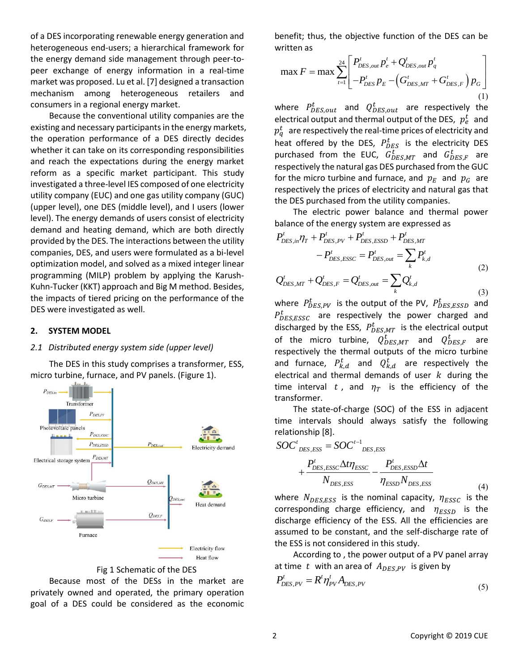of a DES incorporating renewable energy generation and heterogeneous end-users; a hierarchical framework for the energy demand side management through peer-topeer exchange of energy information in a real-time market was proposed. Lu et al. [7] designed a transaction mechanism among heterogeneous retailers and consumers in a regional energy market.

Because the conventional utility companies are the existing and necessary participants in the energy markets, the operation performance of a DES directly decides whether it can take on its corresponding responsibilities and reach the expectations during the energy market reform as a specific market participant. This study investigated a three-level IES composed of one electricity utility company (EUC) and one gas utility company (GUC) (upper level), one DES (middle level), and I users (lower level). The energy demands of users consist of electricity demand and heating demand, which are both directly provided by the DES. The interactions between the utility companies, DES, and users were formulated as a bi-level optimization model, and solved as a mixed integer linear programming (MILP) problem by applying the Karush-Kuhn-Tucker (KKT) approach and Big M method. Besides, the impacts of tiered pricing on the performance of the DES were investigated as well.

# **2. SYSTEM MODEL**

## *2.1 Distributed energy system side (upper level)*

The DES in this study comprises a transformer, ESS, micro turbine, furnace, and PV panels. (Figure 1).





Because most of the DESs in the market are privately owned and operated, the primary operation goal of a DES could be considered as the economic

benefit; thus, the objective function of the DES can be<br>written as<br> $\frac{24}{P_{DES,out}} \left[ P_{DES,out}^t P_e^t + Q_{DES,out}^t P_q^t \right]$ written as

ritten as  
\n
$$
\max F = \max \sum_{t=1}^{24} \left[ \frac{P_{DES,out}^{t} p_{e}^{t} + Q_{DES,out}^{t} p_{q}^{t}}{-P_{DES}^{t} p_{E} - (G_{DES,MT}^{t} + G_{DES,F}^{t}) p_{G}} \right]
$$
\n(1)

where  $P_{DES,out}^t$  and  $Q_{DES,out}^t$  are respectively the electrical output and thermal output of the DES,  $p_e^t$  and  $p_q^t\;$  are respectively the real-time prices of electricity and heat offered by the DES,  $P_{DES}^{t}$  is the electricity DES purchased from the EUC,  $G_{DES,MT}^t$  and  $G_{DES,F}^t$  are respectively the natural gas DES purchased from the GUC for the micro turbine and furnace, and  $p_E$  and  $p_G$  are respectively the prices of electricity and natural gas that the DES purchased from the utility companies.

The electric power balance and thermal power

balance of the energy system are expressed as  
\n
$$
P_{DES,in}^{t} \eta_{T} + P_{DES,PV}^{t} + P_{DES,ESD}^{t} + P_{DES,MT}^{t} - P_{DES,ESSC}^{t} = P_{DES,out}^{t} = \sum_{k} P_{k,d}^{t}
$$
\n
$$
Q_{DES,MT}^{t} + Q_{DES,F}^{t} = Q_{DES,out}^{t} = \sum Q_{k,d}^{t}
$$
\n(2)

$$
Q_{DES,MT}^{t} + Q_{DES,F}^{t} = Q_{DES,out}^{t} = \sum_{k} Q_{k,d}^{t}
$$
\n(3)

where  $P_{DES,PV}^{t}$  is the output of the PV,  $P_{DES,ESSD}^{t}$  and  $P_{DES,ESSC}^{t}$  are respectively the power charged and discharged by the ESS,  $P_{DES,MT}^{t}$  is the electrical output of the micro turbine,  $Q^t_{DES,MT}$  and  $Q^t_{DES,F}$  are respectively the thermal outputs of the micro turbine and furnace,  $P_{k,d}^t$  and  $Q_{k,d}^t$  are respectively the electrical and thermal demands of user  $k$  during the time interval t, and  $\eta_T$  is the efficiency of the transformer.

The state-of-charge (SOC) of the ESS in adjacent time intervals should always satisfy the following

$$
\begin{aligned}\n\text{relationship [8]}. \\
\text{SOC}^t_{\text{DES},\text{ESS}} &= \text{SOC}^{t-1}_{\text{DES},\text{ESS}} \\
&+ \frac{P_{\text{DES},\text{ESSC}}^t \Delta t \eta_{\text{ESSC}}}{N_{\text{DES},\text{ESS}}} - \frac{P_{\text{DES},\text{ESSD}}^t \Delta t}{\eta_{\text{ESSD}} N_{\text{DES},\text{ESS}}} \n\end{aligned} \tag{4}
$$

where  $N_{DES,ESS}$  is the nominal capacity,  $\eta_{ESSC}$  is the corresponding charge efficiency, and  $\eta_{ESSD}$  is the discharge efficiency of the ESS. All the efficiencies are assumed to be constant, and the self-discharge rate of the ESS is not considered in this study.

According to , the power output of a PV panel array at time t with an area of  $A_{DES,PV}$  is given by

$$
P_{DES,PV}^t = R^t \eta_{PV}^t A_{DES,PV}
$$
\n<sup>(5)</sup>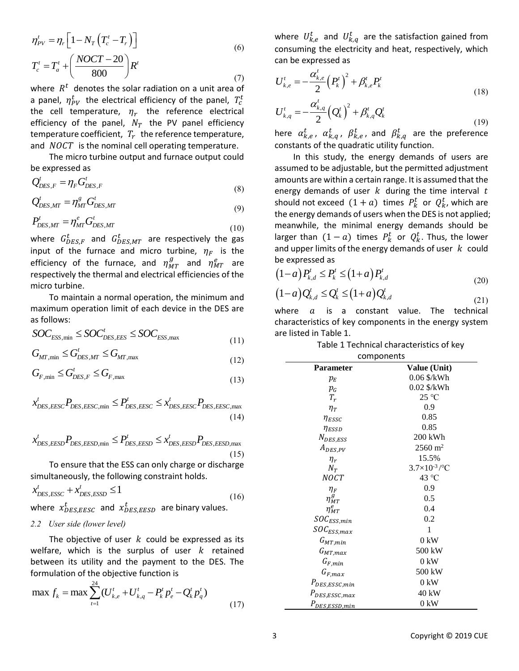$$
\eta_{PV}^{t} = \eta_r \left[ 1 - N_T \left( T_c^{t} - T_r \right) \right]
$$
\n
$$
T_c^{t} = T_a^{t} + \left( \frac{NOCT - 20}{800} \right) R^{t}
$$
\n(7)

where  $R<sup>t</sup>$  denotes the solar radiation on a unit area of a panel,  $\eta_{PV}^{t}$  the electrical efficiency of the panel,  $T_{c}^{t}$ the cell temperature,  $\eta_r$  the reference electrical efficiency of the panel,  $N_T$  the PV panel efficiency temperature coefficient,  $T_r\;$  the reference temperature, and  $NOCT$  is the nominal cell operating temperature.

The micro turbine output and furnace output could be expressed as

$$
Q_{DES,F}^t = \eta_F G_{DES,F}^t
$$
\n(8)

$$
Q_{DES,MT}^t = \eta_{MT}^s G_{DES,MT}^t \tag{9}
$$

$$
P_{\text{DES,MT}}^t = \eta_{\text{MT}}^e G_{\text{DES,MT}}^t \tag{10}
$$

where  $G_{DES,F}^{t}$  and  $G_{DES,MT}^{t}$  are respectively the gas input of the furnace and micro turbine,  $\eta_F$  is the efficiency of the furnace, and  $\eta_{MT}^g$  and  $\eta_{MT}^e$  are respectively the thermal and electrical efficiencies of the micro turbine.

To maintain a normal operation, the minimum and maximum operation limit of each device in the DES are as follows:

as follows:  
\n
$$
SOC_{ESS,min} \leq SOC_{DES,EES}^t \leq SOC_{ESS,max}
$$
\n(11)

$$
G_{MT, \min} \le G_{DES, MT}^{t} \le G_{MT, \max}
$$
\n(11)

$$
G_{F,\min} \le G_{\text{DES},F}^t \le G_{F,\max} \tag{13}
$$

$$
\mathcal{L}_{F,\text{min}} \simeq \mathcal{L}_{DES,F} \simeq \mathcal{L}_{F,\text{max}} \tag{13}
$$
\n
$$
x_{DES,EESC}^t P_{DES,EESC,\text{min}} \le P_{DES,EESC}^t \le x_{DES,EESC}^t P_{DES,EESC,\text{max}} \tag{14}
$$

(14)  
\n
$$
x_{DES, EESD}^t P_{DES, EESD,min} \le P_{DES, EESD}^t \le x_{DES, EESD}^t P_{DES, EESD,max}
$$
\n(15)

To ensure that the ESS can only charge or discharge simultaneously, the following constraint holds.

$$
x'_{DES,ESSC} + x'_{DES,ESSD} \le 1
$$
\n(16)

where  $x_{DES,EESC}^{t}$  and  $x_{DES,EESD}^{t}$  are binary values.

# *2.2 User side (lower level)*

The objective of user  $k$  could be expressed as its welfare, which is the surplus of user  $k$  retained between its utility and the payment to the DES. The

formulation of the objective function is  
\n
$$
\max f_k = \max \sum_{i=1}^{24} (U_{k,e}^t + U_{k,q}^t - P_k^t p_e^t - Q_k^t p_q^t)
$$
\n(17)

where  $U_{k,e}^{t}$  and  $U_{k,q}^{t}$  are the satisfaction gained from consuming the electricity and heat, respectively, which can be expressed as

$$
U_{k,e}^{t} = -\frac{\alpha_{k,e}^{t}}{2} (P_k^{t})^2 + \beta_{k,e}^{t} P_k^{t}
$$
  
\n
$$
U_{k,q}^{t} = -\frac{\alpha_{k,q}^{t}}{2} (Q_k^{t})^2 + \beta_{k,q}^{t} Q_k^{t}
$$
\n(18)

be expressed as  
\n
$$
(1-a)P_{k,d}^t \le P_k^t \le (1+a)P_{k,d}^t
$$
\n(20)

$$
(20)
$$
  

$$
(1-a)Q_{k,d}^t \le Q_k^t \le (1+a)Q_{k,d}^t
$$
 (21)

| $1 - N_T\left(T_c^t - T_r\right)$                                                                                                                               | (6)  | consuming the electricity and heat, respectively, which                                             | where $U_{k,e}^{\epsilon}$ and $U_{k,q}^{\epsilon}$ are the satisfaction gained from |
|-----------------------------------------------------------------------------------------------------------------------------------------------------------------|------|-----------------------------------------------------------------------------------------------------|--------------------------------------------------------------------------------------|
|                                                                                                                                                                 |      | can be expressed as                                                                                 |                                                                                      |
| $\left(\frac{NOCT-20}{800}\right)R^{t}$                                                                                                                         |      |                                                                                                     |                                                                                      |
| denotes the solar radiation on a unit area of                                                                                                                   | (7)  | $U_{k,e}^{t}=-\frac{\alpha_{k,e}^{t}}{2}\left(P_{k}^{t}\right)^{2}+\beta_{k,e}^{t}P_{k}^{t}$        |                                                                                      |
| $r_{PV}^t$ the electrical efficiency of the panel, $T_c^t$                                                                                                      |      |                                                                                                     | (18)                                                                                 |
| temperature, $\eta_r$ the reference electrical                                                                                                                  |      | $U_{k,q}^{t} = -\frac{\alpha_{k,q}^{t}}{2} (Q_{k}^{t})^{2} + \beta_{k,q}^{t} Q_{k}^{t}$             |                                                                                      |
| of the panel, $N_T$ the PV panel efficiency                                                                                                                     |      |                                                                                                     | (19)                                                                                 |
| re coefficient, $T_r$ the reference temperature,                                                                                                                |      | here $\alpha_{k,e}^t$ , $\alpha_{k,q}^t$ , $\beta_{k,e}^t$ , and $\beta_{k,q}^t$ are the preference |                                                                                      |
|                                                                                                                                                                 |      | constants of the quadratic utility function.                                                        |                                                                                      |
| $\Gamma$ is the nominal cell operating temperature.<br>nicro turbine output and furnace output could                                                            |      |                                                                                                     |                                                                                      |
| ed as                                                                                                                                                           |      | assumed to be adjustable, but the permitted adjustment                                              | In this study, the energy demands of users are                                       |
|                                                                                                                                                                 |      | amounts are within a certain range. It is assumed that the                                          |                                                                                      |
| $\eta_{\scriptscriptstyle F} G^{\scriptscriptstyle t}_{\scriptscriptstyle DES, F}$                                                                              | (8)  |                                                                                                     |                                                                                      |
|                                                                                                                                                                 |      | energy demands of user $k$ during the time interval $t$                                             |                                                                                      |
| $\eta_{\rm MT}^s G_{\rm DES,MT}^t$                                                                                                                              | (9)  | should not exceed $(1 + a)$ times $P_k^t$ or $Q_k^t$ , which are                                    |                                                                                      |
| $\eta_{\rm\scriptscriptstyle MT}^{e} G^{\scriptscriptstyle t}_{\scriptscriptstyle DES,MT}$                                                                      |      | the energy demands of users when the DES is not applied                                             |                                                                                      |
|                                                                                                                                                                 | (10) | meanwhile, the minimal energy demands should be                                                     |                                                                                      |
| $_{ES,F}$ and $G_{DES,MT}^{t}$ are respectively the gas                                                                                                         |      | larger than $(1-a)$ times $P_k^t$ or $Q_k^t$ . Thus, the lower                                      |                                                                                      |
| the furnace and micro turbine, $\eta_F$ is the                                                                                                                  |      | and upper limits of the energy demands of user $k$ could                                            |                                                                                      |
| of the furnace, and $\eta_{MT}^g$ and $\eta_{MT}^e$ are                                                                                                         |      | be expressed as                                                                                     |                                                                                      |
| ly the thermal and electrical efficiencies of the                                                                                                               |      | $(1-a)P_{k,d}^t \leq P_k^t \leq (1+a)P_{k,d}^t$                                                     | (20)                                                                                 |
| ıne.                                                                                                                                                            |      |                                                                                                     |                                                                                      |
| aintain a normal operation, the minimum and                                                                                                                     |      | $(1-a)Q_{k,d}^t \leq Q_k^t \leq (1+a)Q_{k,d}^t$                                                     | (21)                                                                                 |
| operation limit of each device in the DES are                                                                                                                   |      | where<br>is a constant<br>a                                                                         | value.<br>The<br>technical                                                           |
|                                                                                                                                                                 |      | characteristics of key components in the energy system                                              |                                                                                      |
| $\sum_{\rm D} \leq SOC_{\rm DES,EES}^t \leq SOC_{\rm ESS, max}$                                                                                                 |      | are listed in Table 1.                                                                              |                                                                                      |
|                                                                                                                                                                 | (11) |                                                                                                     | Table 1 Technical characteristics of key                                             |
| $G^t_{\textit{DES,MT}} \leq G_{\textit{MT},\text{max}}$                                                                                                         | (12) |                                                                                                     | components                                                                           |
| $G^t_{\textit{DES}, F} \leq G^t_{F, \text{max}}$                                                                                                                |      | Parameter                                                                                           | Value (Unit)                                                                         |
|                                                                                                                                                                 | (13) | $p_E$                                                                                               | 0.06 \$/kWh                                                                          |
|                                                                                                                                                                 |      | $p_G$                                                                                               | 0.02 \$/kWh                                                                          |
| $P_{\text{DES}, \text{EESC}, \text{min}} \leq P_{\text{DES}, \text{EESC}}^t \leq x_{\text{DES}, \text{EESC}}^t P_{\text{DES}, \text{EESC}, \text{max}}$         |      | $T_r$                                                                                               | $25 \text{ °C}$<br>0.9                                                               |
|                                                                                                                                                                 | (14) | $\eta_T$<br>$\eta_{ESSC}$                                                                           | 0.85                                                                                 |
|                                                                                                                                                                 |      | $\eta_{ESSD}$                                                                                       | 0.85                                                                                 |
| $P_{\text{DES},\text{EESD},\text{min}} \leq P_{\text{DES},\text{EESD}}^{\prime} \leq x_{\text{DES},\text{EESD}}^{\prime} P_{\text{DES},\text{EESD},\text{max}}$ |      | $N_{DES,ESS}$                                                                                       | 200 kWh                                                                              |
|                                                                                                                                                                 |      | $A_{DES,PV}$                                                                                        | $2560 \text{ m}^2$                                                                   |
|                                                                                                                                                                 | (15) | $\eta_r$                                                                                            | 15.5%                                                                                |
| sure that the ESS can only charge or discharge                                                                                                                  |      | $N_T$                                                                                               | $3.7\times10^{-3}$ /°C                                                               |
| busly, the following constraint holds.                                                                                                                          |      | <b>NOCT</b>                                                                                         | 43 °C                                                                                |
| $-x_{DES,ESSD}^{t} \leq 1$                                                                                                                                      | (16) | $\eta_F$                                                                                            | 0.9                                                                                  |
| $\mathcal{L}_{ES,EESC}$ and $x_{DES,EESD}^{t}$ are binary values.                                                                                               |      | $\eta_{MT}^g$<br>$\eta_{MT}^e$                                                                      | 0.5<br>0.4                                                                           |
|                                                                                                                                                                 |      | $\mathit{SOC}_{\mathit{ESS,min}}$                                                                   | 0.2                                                                                  |
| ide (lower level)                                                                                                                                               |      | $SOC_{ESS,max}$                                                                                     | 1                                                                                    |
| bjective of user $k$ could be expressed as its                                                                                                                  |      | $G_{MT,min}$                                                                                        | $0$ kW                                                                               |
| which is the surplus of user $k$ retained                                                                                                                       |      |                                                                                                     |                                                                                      |
|                                                                                                                                                                 |      |                                                                                                     | $0 \text{ kW}$                                                                       |
|                                                                                                                                                                 |      |                                                                                                     | 500 kW                                                                               |
|                                                                                                                                                                 |      | $P_{DES,ESSC,min}$                                                                                  | $0 \text{ kW}$                                                                       |
|                                                                                                                                                                 |      | $P_{DES,ESSC,max}$                                                                                  | 40 kW                                                                                |
|                                                                                                                                                                 | (17) | $P_{DES,ESSD,min}$                                                                                  | $0$ kW                                                                               |
| ts utility and the payment to the DES. The<br>n of the objective function is<br>$\max \sum_{i=1}^{24} (U_{k,e}^t + U_{k,q}^t - P_k^t p_e^t - Q_k^t p_q^t)$      |      | $G_{MT,max}$<br>$G_{F,min}$<br>$G_{F,max}$<br>3                                                     | 500 kW<br>Copyright © 2019 CUE                                                       |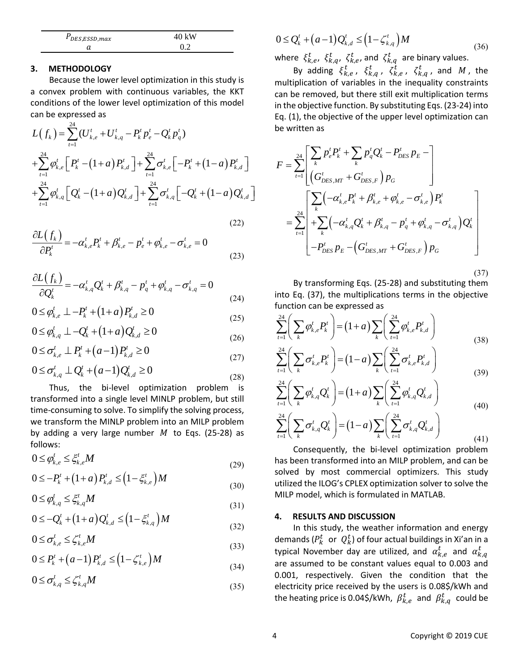| PDES, ESSD, max | 40 kW |  |
|-----------------|-------|--|
|                 |       |  |

# **3. METHODOLOGY**

Because the lower level optimization in this study is a convex problem with continuous variables, the KKT conditions of the lower level optimization of this model

can be expressed as  
\n
$$
L(f_k) = \sum_{t=1}^{24} (U_{k,e}^t + U_{k,q}^t - P_k^t p_e^t - Q_k^t p_q^t)
$$
\n
$$
+ \sum_{t=1}^{24} \varphi_{k,e}^t \left[ P_k^t - (1+a) P_{k,d}^t \right] + \sum_{t=1}^{24} \sigma_{k,e}^t \left[ -P_k^t + (1-a) P_{k,d}^t \right]
$$
\n
$$
F = + \sum_{t=1}^{24} \varphi_{k,q}^t \left[ Q_k^t - (1+a) Q_{k,d}^t \right] + \sum_{t=1}^{24} \sigma_{k,q}^t \left[ -Q_k^t + (1-a) Q_{k,d}^t \right]
$$

(22)  
\n
$$
\frac{\partial L(f_k)}{\partial P'_k} = -\alpha_{k,e}^t P'_k + \beta_{k,e}^t - p'_e + \varphi_{k,e}^t - \sigma_{k,e}^t = 0
$$
\n(23)

 $(22)$ 

$$
\frac{\partial L(f_k)}{\partial Q_k^t} = -\alpha_{k,q}^t \mathcal{Q}_k^t + \beta_{k,q}^t - p_q^t + \varphi_{k,q}^t - \sigma_{k,q}^t = 0
$$
\n(24)

$$
0 \le \varphi_{k,e}^t \perp -P_k^t + (1+a)P_{k,d}^t \ge 0
$$
\n(24)

$$
0 \le \varphi_{k,q}^t \perp -Q'_k + (1+a)Q'_{k,d} \ge 0
$$
\n(25)

$$
0 \le \sigma_{k,e}^t \perp P_k^t + (a-1) P_{k,d}^t \ge 0
$$
\n(26)

$$
0 \le \sigma_{k,q}^t \perp Q_k^t + (a-1)Q_{k,d}^t \ge 0
$$
\n(28)

Thus, the bi-level optimization problem is transformed into a single level MINLP problem, but still time-consuming to solve. To simplify the solving process, we transform the MINLP problem into an MILP problem by adding a very large number  $M$  to Eqs. (25-28) as follows:

$$
0 \le \varphi_{k,e}^t \le \xi_{k,e}^t M \tag{29}
$$

$$
0 \le -P_k^t + (1+a) P_{k,d}^t \le (1 - \xi_{k,e}^t) M
$$
\n(29)

$$
0 \le \varphi_{k,q}^t \le \xi_{k,q}^t M \tag{31}
$$

$$
0 \le -Q_k^t + (1+a)Q_{k,d}^t \le (1 - \xi_{k,q}^t)M
$$
\n(31)

$$
0 \le \sigma_{k,e}^t \le \zeta_{k,e}^t M \tag{33}
$$

$$
0 \le P_k^t + (a-1) P_{k,d}^t \le \left(1 - \zeta_{k,e}^t\right) M
$$
\n(33)

$$
0 \leq \sigma_{k,q}^t \leq \zeta_{k,q}^t M \tag{35}
$$

$$
0 \le Q_k^t + (a-1)Q_{k,d}^t \le \left(1 - \zeta_{k,q}^t\right)M
$$
\nwhere  $t$  and  $z^t$  are linear values.

\n
$$
(36)
$$

where  $\xi_{k,e}^t$ ,  $\xi_{k,q}^t$ ,  $\zeta_{k,e}^t$ , and  $\zeta_{k,q}^t$  are binary values.

By adding  $\xi_{k,e}^t$ ,  $\xi_{k,q}^t$ ,  $\xi_{k,e}^t$ ,  $\xi_{k,q}^t$ , and M, the multiplication of variables in the inequality constraints can be removed, but there still exit multiplication terms in the objective function. By substituting Eqs. (23-24) into be written as

Eq. (1), the objective of the upper level optimization can  
\nbe written as  
\n
$$
F = \sum_{t=1}^{24} \left[ \sum_{k} p_e^t P_k^t + \sum_{k} p_q^t Q_k^t - P_{DES}^t P_E - \right]
$$
\n
$$
\left( G_{DES,MT}^t + G_{DES,F}^t \right) P_G
$$
\n
$$
= \sum_{t=1}^{24} \left[ \sum_{k} \left( -\alpha_{k,e}^t P_k^t + \beta_{k,e}^t + \varphi_{k,e}^t - \sigma_{k,e}^t \right) P_k^t \right]
$$
\n
$$
= \sum_{t=1}^{24} \left[ + \sum_{k} \left( -\alpha_{k,q}^t Q_k^t + \beta_{k,q}^t - p_q^t + \varphi_{k,q}^t - \sigma_{k,q}^t \right) Q_k^t \right]
$$
\n
$$
-P_{DES}^t P_E - \left( G_{DES,MT}^t + G_{DES,F}^t \right) P_G
$$

(37)

By transforming Eqs. (25-28) and substituting them into Eq. (37), the multiplications terms in the objective

function can be expressed as  
\n
$$
\sum_{t=1}^{24} \left( \sum_{k} \varphi_{k,e}^{t} P_{k}^{t} \right) = (1+a) \sum_{k} \left( \sum_{t=1}^{24} \varphi_{k,e}^{t} P_{k,d}^{t} \right)
$$
\n
$$
\sum_{t=1}^{24} \left( \sum_{k} \sigma_{k,e}^{t} P_{k}^{t} \right) = (1-a) \sum_{k} \left( \sum_{t=1}^{24} \sigma_{k,e}^{t} P_{k,d}^{t} \right)
$$
\n(38)

$$
\sum_{t=1}^{n} \left( \sum_{k} \sigma_{k,e}^{t} P_{k}^{t} \right) = (1-a) \sum_{k} \left( \sum_{t=1}^{n} \sigma_{k,e}^{t} P_{k,d}^{t} \right)
$$
\n
$$
\sum_{k=1}^{n} \left( \sum_{k} \sigma_{k}^{t} Q^{t} \right) = (1+a) \sum_{k} \left( \sum_{k=1}^{n} \sigma_{k}^{t} Q^{t} \right)
$$
\n(39)

$$
\sum_{t=1}^{24} \left( \sum_{k} \varphi_{k,q}^{t} Q_{k}^{t} \right) = (1+a) \sum_{k} \left( \sum_{t=1}^{24} \varphi_{k,q}^{t} Q_{k,d}^{t} \right)
$$
\n
$$
\sum_{t=1}^{24} \left( \sum_{k} \varphi_{k,q}^{t} Q_{k}^{t} \right) = (1-a) \sum_{k} \left( \sum_{t=1}^{24} \varphi_{k,q}^{t} Q_{k,d}^{t} \right)
$$
\n
$$
(40)
$$

$$
\sum_{t=1}^{24} \left( \sum_{k} \sigma_{k,q}^{t} Q_{k}^{t} \right) = (1-a) \sum_{k} \left( \sum_{t=1}^{24} \sigma_{k,q}^{t} Q_{k,d}^{t} \right)
$$
(40)

Consequently, the bi-level optimization problem has been transformed into an MILP problem, and can be solved by most commercial optimizers. This study utilized the ILOG's CPLEX optimization solver to solve the MILP model, which is formulated in MATLAB.

# **4. RESULTS AND DISCUSSION**

In this study, the weather information and energy demands ( $P^{\,t}_k$  or  $\,\,Q^{\,t}_k$ ) of four actual buildings in Xi'an in a typical November day are utilized, and  $\alpha_{k,e}^{t}$  and  $\alpha_{k,q}^{t}$ are assumed to be constant values equal to 0.003 and 0.001, respectively. Given the condition that the electricity price received by the users is 0.08\$/kWh and the heating price is 0.04\$/kWh,  $\beta_{k,e}^{t}$  and  $\beta_{k,q}^{t}$  could be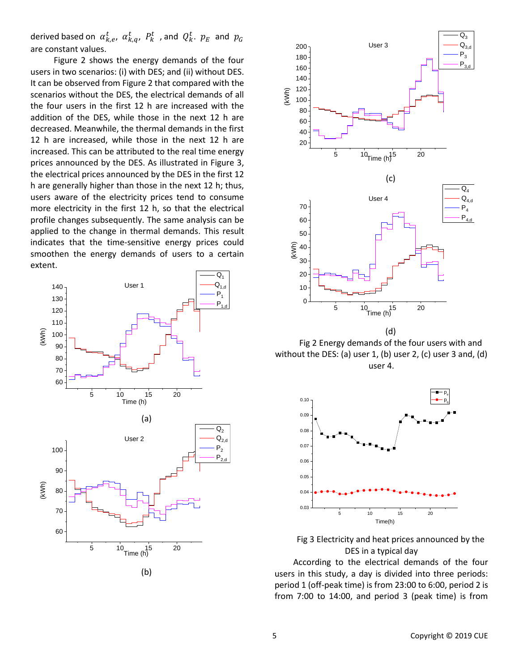derived based on  $\alpha_{k,e}^t$ ,  $\alpha_{k,q}^t$ ,  $P_k^t$  , and  $Q_k^t$ .  $p_E$  and  $p_G$ are constant values.

Figure 2 shows the energy demands of the four users in two scenarios: (i) with DES; and (ii) without DES. It can be observed from Figure 2 that compared with the scenarios without the DES, the electrical demands of all the four users in the first 12 h are increased with the addition of the DES, while those in the next 12 h are decreased. Meanwhile, the thermal demands in the first 12 h are increased, while those in the next 12 h are increased. This can be attributed to the real time energy prices announced by the DES. As illustrated in Figure 3, the electrical prices announced by the DES in the first 12 h are generally higher than those in the next 12 h; thus, users aware of the electricity prices tend to consume more electricity in the first 12 h, so that the electrical profile changes subsequently. The same analysis can be applied to the change in thermal demands. This result indicates that the time-sensitive energy prices could smoothen the energy demands of users to a certain extent.





Fig 2 Energy demands of the four users with and without the DES: (a) user 1, (b) user 2, (c) user 3 and, (d) user 4.



Fig 3 Electricity and heat prices announced by the DES in a typical day

According to the electrical demands of the four users in this study, a day is divided into three periods: period 1 (off-peak time) is from 23:00 to 6:00, period 2 is from 7:00 to 14:00, and period 3 (peak time) is from